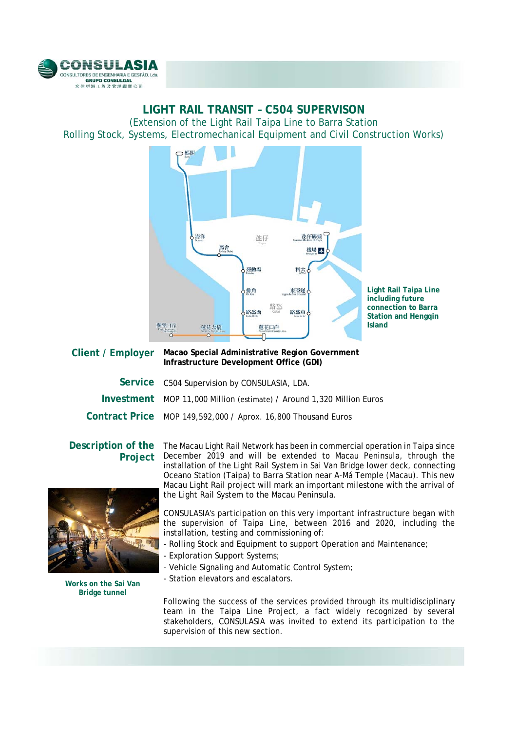

## **LIGHT RAIL TRANSIT – C504 SUPERVISON** (Extension of the Light Rail Taipa Line to Barra Station Rolling Stock, Systems, Electromechanical Equipment and Civil Construction Works)



**Light Rail Taipa Line including future connection to Barra Station and Hengqin Island** 

## **Client / Employer Macao Special Administrative Region Government Infrastructure Development Office (GDI)**

| Service C504 Supervision by CONSULASIA, LDA.                          |
|-----------------------------------------------------------------------|
| Investment MOP 11,000 Million (estimate) / Around 1,320 Million Euros |
| Contract Price MOP 149,592,000 / Aprox. 16,800 Thousand Euros         |

## **Description of the Project**



**Works on the Sai Van Bridge tunnel**

The Macau Light Rail Network has been in commercial operation in Taipa since December 2019 and will be extended to Macau Peninsula, through the installation of the Light Rail System in Sai Van Bridge lower deck, connecting Oceano Station (Taipa) to Barra Station near A-Má Temple (Macau). This new Macau Light Rail project will mark an important milestone with the arrival of the Light Rail System to the Macau Peninsula.

CONSULASIA's participation on this very important infrastructure began with the supervision of Taipa Line, between 2016 and 2020, including the installation, testing and commissioning of:

- Rolling Stock and Equipment to support Operation and Maintenance;
- Exploration Support Systems;
- Vehicle Signaling and Automatic Control System;
- Station elevators and escalators.

Following the success of the services provided through its multidisciplinary team in the Taipa Line Project, a fact widely recognized by several stakeholders, CONSULASIA was invited to extend its participation to the supervision of this new section.